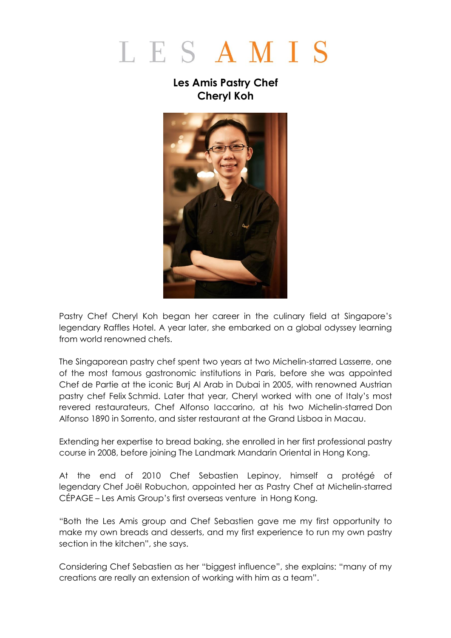## LESAMIS

## **Les Amis Pastry Chef Cheryl Koh**



Pastry Chef Cheryl Koh began her career in the culinary field at Singapore's legendary Raffles Hotel. A year later, she embarked on a global odyssey learning from world renowned chefs.

The Singaporean pastry chef spent two years at two Michelin-starred Lasserre, one of the most famous gastronomic institutions in Paris, before she was appointed Chef de Partie at the iconic Burj Al Arab in Dubai in 2005, with renowned Austrian pastry chef Felix Schmid. Later that year, Cheryl worked with one of Italy's most revered restaurateurs, Chef Alfonso Iaccarino, at his two Michelin-starred Don Alfonso 1890 in Sorrento, and sister restaurant at the Grand Lisboa in Macau.

Extending her expertise to bread baking, she enrolled in her first professional pastry course in 2008, before joining The Landmark Mandarin Oriental in Hong Kong.

At the end of 2010 Chef Sebastien Lepinoy, himself a protégé of legendary Chef Joël Robuchon, appointed her as Pastry Chef at Michelin-starred CÉPAGE – Les Amis Group's first overseas venture in Hong Kong.

"Both the Les Amis group and Chef Sebastien gave me my first opportunity to make my own breads and desserts, and my first experience to run my own pastry section in the kitchen", she says.

Considering Chef Sebastien as her "biggest influence", she explains: "many of my creations are really an extension of working with him as a team".